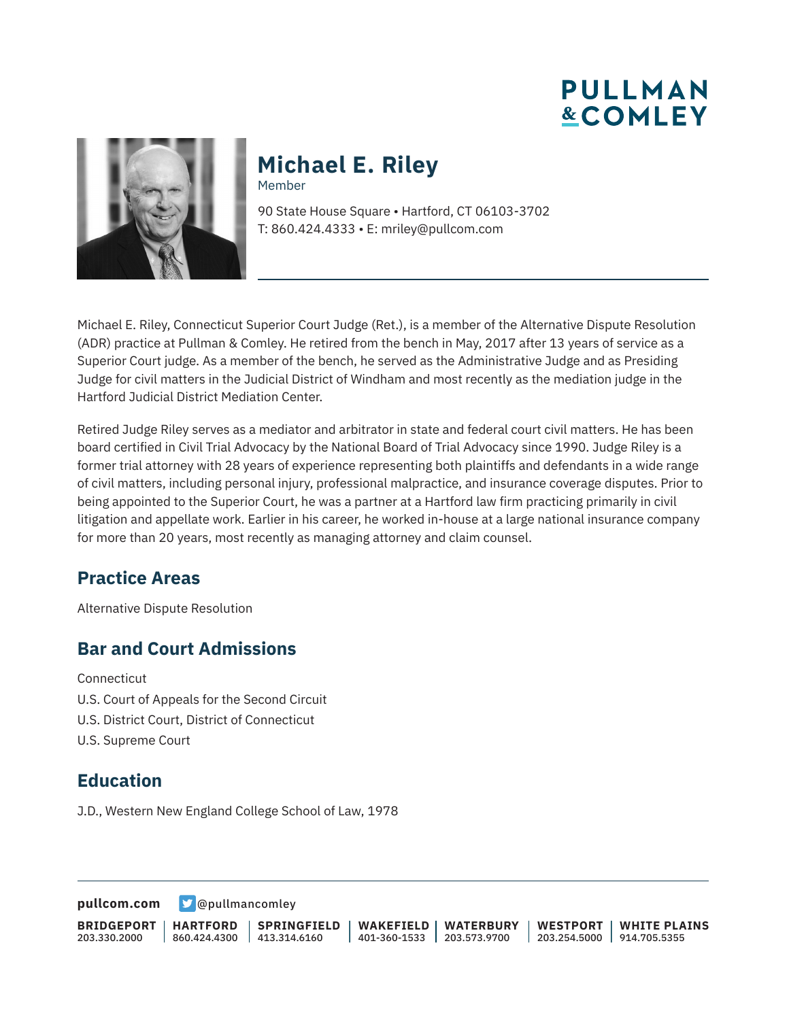# **PULLMAN &COMLEY**



#### **Michael E. Riley** Member

90 State House Square • Hartford, CT 06103-3702 T: 860.424.4333 • E: mriley@pullcom.com

Michael E. Riley, Connecticut Superior Court Judge (Ret.), is a member of the Alternative Dispute Resolution (ADR) practice at Pullman & Comley. He retired from the bench in May, 2017 after 13 years of service as a Superior Court judge. As a member of the bench, he served as the Administrative Judge and as Presiding Judge for civil matters in the Judicial District of Windham and most recently as the mediation judge in the Hartford Judicial District Mediation Center.

Retired Judge Riley serves as a mediator and arbitrator in state and federal court civil matters. He has been board certified in Civil Trial Advocacy by the National Board of Trial Advocacy since 1990. Judge Riley is a former trial attorney with 28 years of experience representing both plaintiffs and defendants in a wide range of civil matters, including personal injury, professional malpractice, and insurance coverage disputes. Prior to being appointed to the Superior Court, he was a partner at a Hartford law firm practicing primarily in civil litigation and appellate work. Earlier in his career, he worked in-house at a large national insurance company for more than 20 years, most recently as managing attorney and claim counsel.

## **Practice Areas**

Alternative Dispute Resolution

## **Bar and Court Admissions**

**Connecticut** 

- U.S. Court of Appeals for the Second Circuit
- U.S. District Court, District of Connecticut
- U.S. Supreme Court

## **Education**

J.D., Western New England College School of Law, 1978

**[pullcom.com](https://www.pullcom.com) g** [@pullmancomley](https://twitter.com/PullmanComley)

|  |                                                                                                        |  | BRIDGEPORT   HARTFORD   SPRINGFIELD   WAKEFIELD   WATERBURY   WESTPORT   WHITE PLAINS |
|--|--------------------------------------------------------------------------------------------------------|--|---------------------------------------------------------------------------------------|
|  | 203.330.2000   860.424.4300   413.314.6160   401-360-1533   203.573.9700   203.254.5000   914.705.5355 |  |                                                                                       |